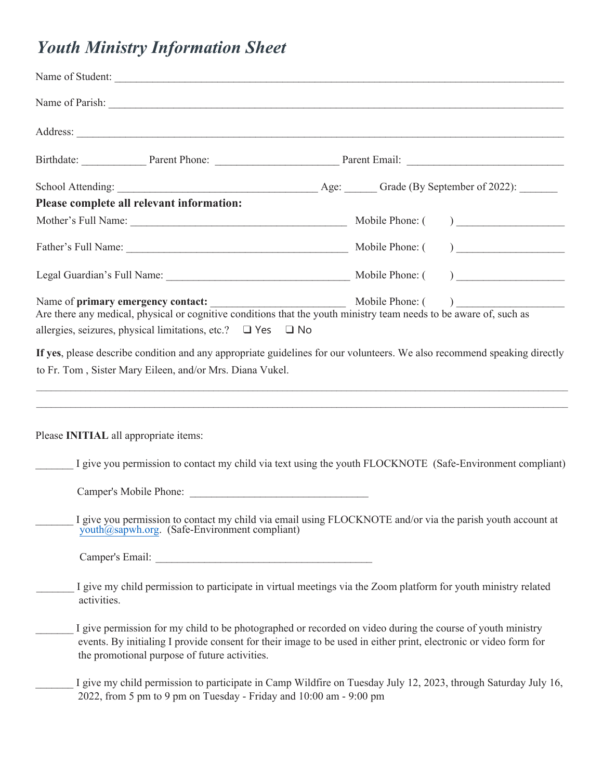## *Youth Ministry Information Sheet*

|             | Name of Student:                                                                                                                                                                                                                                                                |                 |                                                                                                                   |
|-------------|---------------------------------------------------------------------------------------------------------------------------------------------------------------------------------------------------------------------------------------------------------------------------------|-----------------|-------------------------------------------------------------------------------------------------------------------|
|             |                                                                                                                                                                                                                                                                                 |                 |                                                                                                                   |
|             |                                                                                                                                                                                                                                                                                 |                 |                                                                                                                   |
|             |                                                                                                                                                                                                                                                                                 |                 |                                                                                                                   |
|             |                                                                                                                                                                                                                                                                                 |                 |                                                                                                                   |
|             | Please complete all relevant information:                                                                                                                                                                                                                                       |                 |                                                                                                                   |
|             |                                                                                                                                                                                                                                                                                 | Mobile Phone: ( | $\begin{tabular}{ c c c c } \hline \quad \quad & \quad \quad & \quad \quad & \quad \quad \\ \hline \end{tabular}$ |
|             |                                                                                                                                                                                                                                                                                 |                 | $\begin{tabular}{ c c c c } \hline \quad \quad & \quad \quad & \quad \quad & \quad \quad \\ \hline \end{tabular}$ |
|             |                                                                                                                                                                                                                                                                                 |                 | $\begin{tabular}{ c c c c } \hline \quad \quad & \quad \quad & \quad \quad & \quad \quad \\ \hline \end{tabular}$ |
|             | Name of <b>primary emergency contact:</b><br>Are there any medical, physical or cognitive conditions that the youth ministry team needs to be aware of, such as                                                                                                                 |                 |                                                                                                                   |
|             |                                                                                                                                                                                                                                                                                 |                 |                                                                                                                   |
|             | allergies, seizures, physical limitations, etc.? $\Box$ Yes $\Box$ No                                                                                                                                                                                                           |                 |                                                                                                                   |
|             | If yes, please describe condition and any appropriate guidelines for our volunteers. We also recommend speaking directly                                                                                                                                                        |                 |                                                                                                                   |
|             | to Fr. Tom, Sister Mary Eileen, and/or Mrs. Diana Vukel.                                                                                                                                                                                                                        |                 |                                                                                                                   |
|             |                                                                                                                                                                                                                                                                                 |                 |                                                                                                                   |
|             |                                                                                                                                                                                                                                                                                 |                 |                                                                                                                   |
|             | Please <b>INITIAL</b> all appropriate items:                                                                                                                                                                                                                                    |                 |                                                                                                                   |
|             |                                                                                                                                                                                                                                                                                 |                 |                                                                                                                   |
|             | I give you permission to contact my child via text using the youth FLOCKNOTE (Safe-Environment compliant)                                                                                                                                                                       |                 |                                                                                                                   |
|             |                                                                                                                                                                                                                                                                                 |                 |                                                                                                                   |
|             |                                                                                                                                                                                                                                                                                 |                 |                                                                                                                   |
|             | I give you permission to contact my child via email using FLOCKNOTE and/or via the parish youth account at<br>youth@sapwh.org. (Safe-Environment compliant)                                                                                                                     |                 |                                                                                                                   |
|             |                                                                                                                                                                                                                                                                                 |                 |                                                                                                                   |
| activities. | I give my child permission to participate in virtual meetings via the Zoom platform for youth ministry related                                                                                                                                                                  |                 |                                                                                                                   |
|             | I give permission for my child to be photographed or recorded on video during the course of youth ministry<br>events. By initialing I provide consent for their image to be used in either print, electronic or video form for<br>the promotional purpose of future activities. |                 |                                                                                                                   |
|             | I give my child permission to participate in Camp Wildfire on Tuesday July 12, 2023, through Saturday July 16,<br>2022, from 5 pm to 9 pm on Tuesday - Friday and 10:00 am - 9:00 pm                                                                                            |                 |                                                                                                                   |